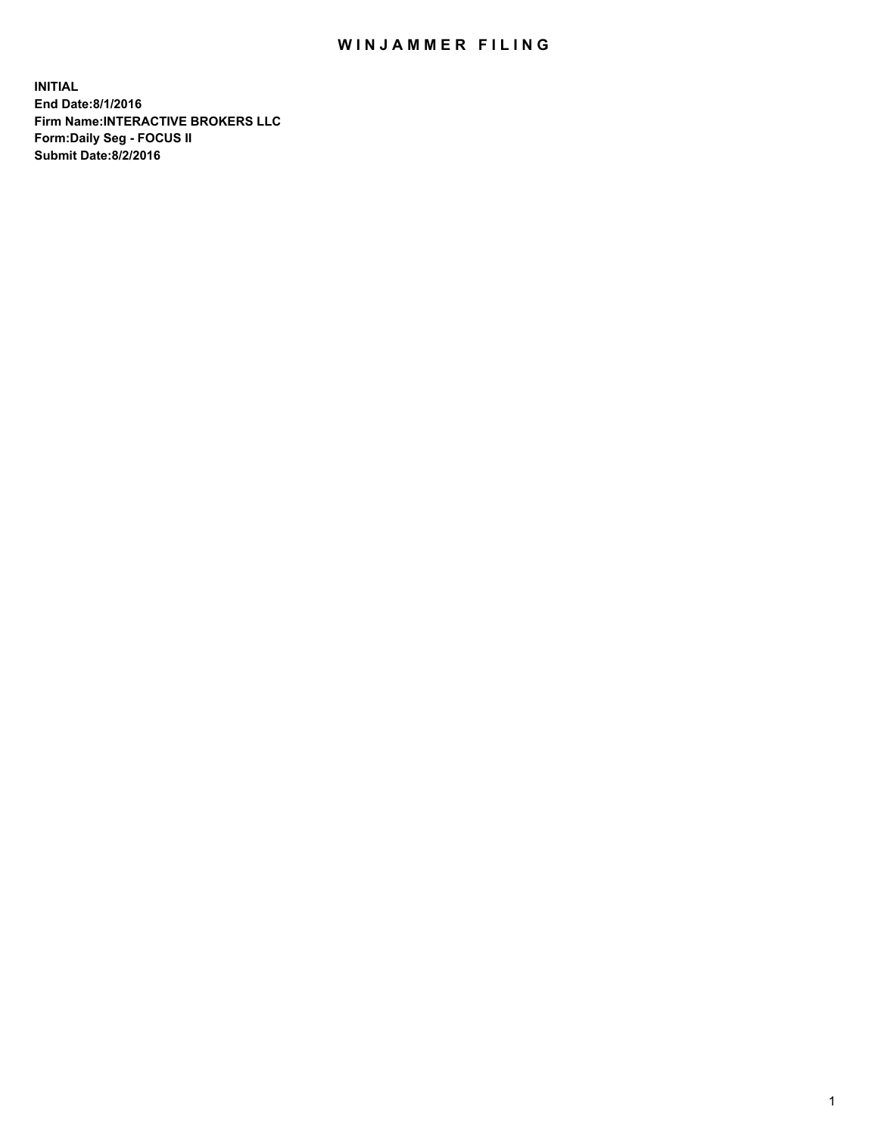## WIN JAMMER FILING

**INITIAL End Date:8/1/2016 Firm Name:INTERACTIVE BROKERS LLC Form:Daily Seg - FOCUS II Submit Date:8/2/2016**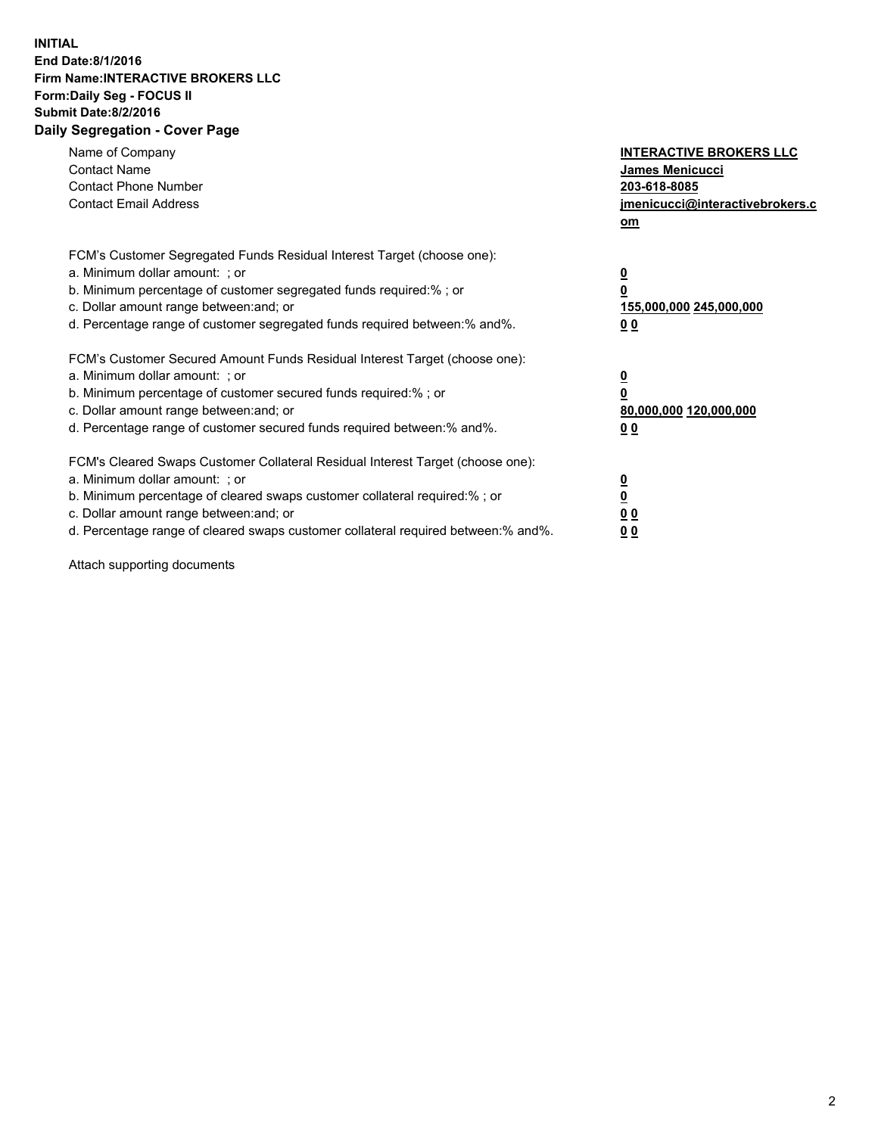## **INITIAL End Date:8/1/2016 Firm Name:INTERACTIVE BROKERS LLC Form:Daily Seg - FOCUS II Submit Date:8/2/2016 Daily Segregation - Cover Page**

| Name of Company<br><b>Contact Name</b><br><b>Contact Phone Number</b><br><b>Contact Email Address</b>                                                                                                                                                                                                                          | <b>INTERACTIVE BROKERS LLC</b><br>James Menicucci<br>203-618-8085<br>jmenicucci@interactivebrokers.c<br>om |
|--------------------------------------------------------------------------------------------------------------------------------------------------------------------------------------------------------------------------------------------------------------------------------------------------------------------------------|------------------------------------------------------------------------------------------------------------|
| FCM's Customer Segregated Funds Residual Interest Target (choose one):<br>a. Minimum dollar amount: ; or<br>b. Minimum percentage of customer segregated funds required:%; or<br>c. Dollar amount range between: and; or<br>d. Percentage range of customer segregated funds required between:% and%.                          | $\overline{\mathbf{0}}$<br>$\overline{\mathbf{0}}$<br>155,000,000 245,000,000<br>00                        |
| FCM's Customer Secured Amount Funds Residual Interest Target (choose one):<br>a. Minimum dollar amount: ; or<br>b. Minimum percentage of customer secured funds required:%; or<br>c. Dollar amount range between: and; or<br>d. Percentage range of customer secured funds required between: % and %.                          | $\overline{\mathbf{0}}$<br>$\mathbf 0$<br>80,000,000 120,000,000<br>00                                     |
| FCM's Cleared Swaps Customer Collateral Residual Interest Target (choose one):<br>a. Minimum dollar amount: ; or<br>b. Minimum percentage of cleared swaps customer collateral required:% ; or<br>c. Dollar amount range between: and; or<br>d. Percentage range of cleared swaps customer collateral required between:% and%. | $\overline{\mathbf{0}}$<br>$\underline{\mathbf{0}}$<br>0 <sub>0</sub><br>0 <sub>0</sub>                    |

Attach supporting documents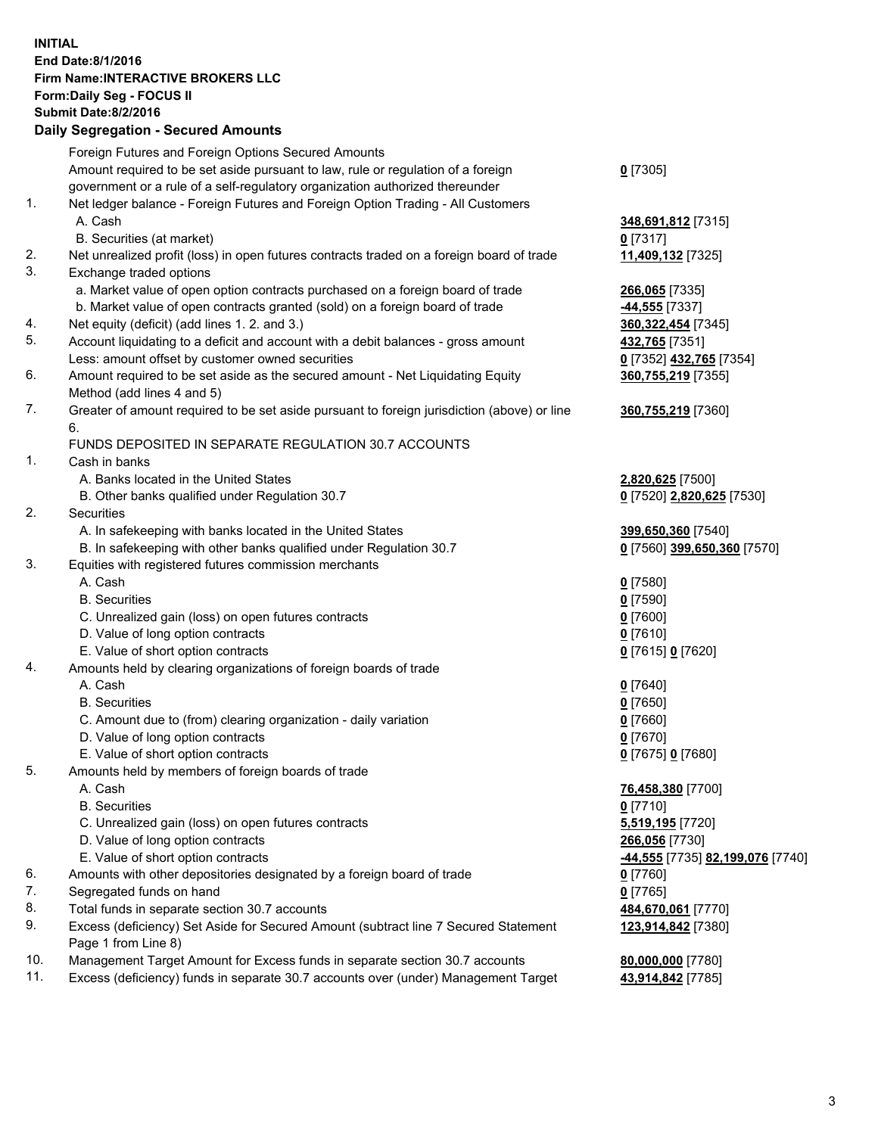## **INITIAL End Date:8/1/2016 Firm Name:INTERACTIVE BROKERS LLC Form:Daily Seg - FOCUS II Submit Date:8/2/2016 Daily Segregation - Secured Amounts**

|     | Foreign Futures and Foreign Options Secured Amounts                                         |                                  |
|-----|---------------------------------------------------------------------------------------------|----------------------------------|
|     | Amount required to be set aside pursuant to law, rule or regulation of a foreign            | $0$ [7305]                       |
|     | government or a rule of a self-regulatory organization authorized thereunder                |                                  |
| 1.  | Net ledger balance - Foreign Futures and Foreign Option Trading - All Customers             |                                  |
|     | A. Cash                                                                                     | 348,691,812 [7315]               |
|     | B. Securities (at market)                                                                   | $0$ [7317]                       |
| 2.  | Net unrealized profit (loss) in open futures contracts traded on a foreign board of trade   | 11,409,132 [7325]                |
| 3.  | Exchange traded options                                                                     |                                  |
|     | a. Market value of open option contracts purchased on a foreign board of trade              | 266,065 [7335]                   |
|     | b. Market value of open contracts granted (sold) on a foreign board of trade                | -44,555 [7337]                   |
| 4.  | Net equity (deficit) (add lines 1.2. and 3.)                                                | 360, 322, 454 [7345]             |
| 5.  | Account liquidating to a deficit and account with a debit balances - gross amount           | 432,765 [7351]                   |
|     | Less: amount offset by customer owned securities                                            | 0 [7352] 432,765 [7354]          |
| 6.  | Amount required to be set aside as the secured amount - Net Liquidating Equity              | 360,755,219 [7355]               |
|     | Method (add lines 4 and 5)                                                                  |                                  |
| 7.  | Greater of amount required to be set aside pursuant to foreign jurisdiction (above) or line | 360,755,219 [7360]               |
|     | 6.                                                                                          |                                  |
|     | FUNDS DEPOSITED IN SEPARATE REGULATION 30.7 ACCOUNTS                                        |                                  |
| 1.  | Cash in banks                                                                               |                                  |
|     | A. Banks located in the United States                                                       | 2,820,625 [7500]                 |
|     | B. Other banks qualified under Regulation 30.7                                              | 0 [7520] 2,820,625 [7530]        |
| 2.  | Securities                                                                                  |                                  |
|     | A. In safekeeping with banks located in the United States                                   | 399,650,360 [7540]               |
|     | B. In safekeeping with other banks qualified under Regulation 30.7                          | 0 [7560] 399,650,360 [7570]      |
| 3.  | Equities with registered futures commission merchants                                       |                                  |
|     | A. Cash                                                                                     | $0$ [7580]                       |
|     | <b>B.</b> Securities                                                                        | $0$ [7590]                       |
|     | C. Unrealized gain (loss) on open futures contracts                                         | $0$ [7600]                       |
|     | D. Value of long option contracts                                                           | $0$ [7610]                       |
|     | E. Value of short option contracts                                                          | 0 [7615] 0 [7620]                |
| 4.  | Amounts held by clearing organizations of foreign boards of trade                           |                                  |
|     | A. Cash                                                                                     | $0$ [7640]                       |
|     | <b>B.</b> Securities                                                                        | $0$ [7650]                       |
|     | C. Amount due to (from) clearing organization - daily variation                             | $0$ [7660]                       |
|     | D. Value of long option contracts                                                           | $0$ [7670]                       |
|     | E. Value of short option contracts                                                          | 0 [7675] 0 [7680]                |
| 5.  | Amounts held by members of foreign boards of trade                                          |                                  |
|     | A. Cash                                                                                     | 76,458,380 [7700]                |
|     | <b>B.</b> Securities                                                                        | $0$ [7710]                       |
|     | C. Unrealized gain (loss) on open futures contracts                                         | 5,519,195 [7720]                 |
|     | D. Value of long option contracts                                                           | 266,056 [7730]                   |
|     | E. Value of short option contracts                                                          | -44,555 [7735] 82,199,076 [7740] |
| 6.  | Amounts with other depositories designated by a foreign board of trade                      | $0$ [7760]                       |
| 7.  | Segregated funds on hand                                                                    |                                  |
| 8.  |                                                                                             | $0$ [7765]                       |
| 9.  | Total funds in separate section 30.7 accounts                                               | 484,670,061 [7770]               |
|     | Excess (deficiency) Set Aside for Secured Amount (subtract line 7 Secured Statement         | 123,914,842 [7380]               |
| 10. | Page 1 from Line 8)                                                                         |                                  |
| 11. | Management Target Amount for Excess funds in separate section 30.7 accounts                 | 80,000,000 [7780]                |
|     | Excess (deficiency) funds in separate 30.7 accounts over (under) Management Target          | 43,914,842 [7785]                |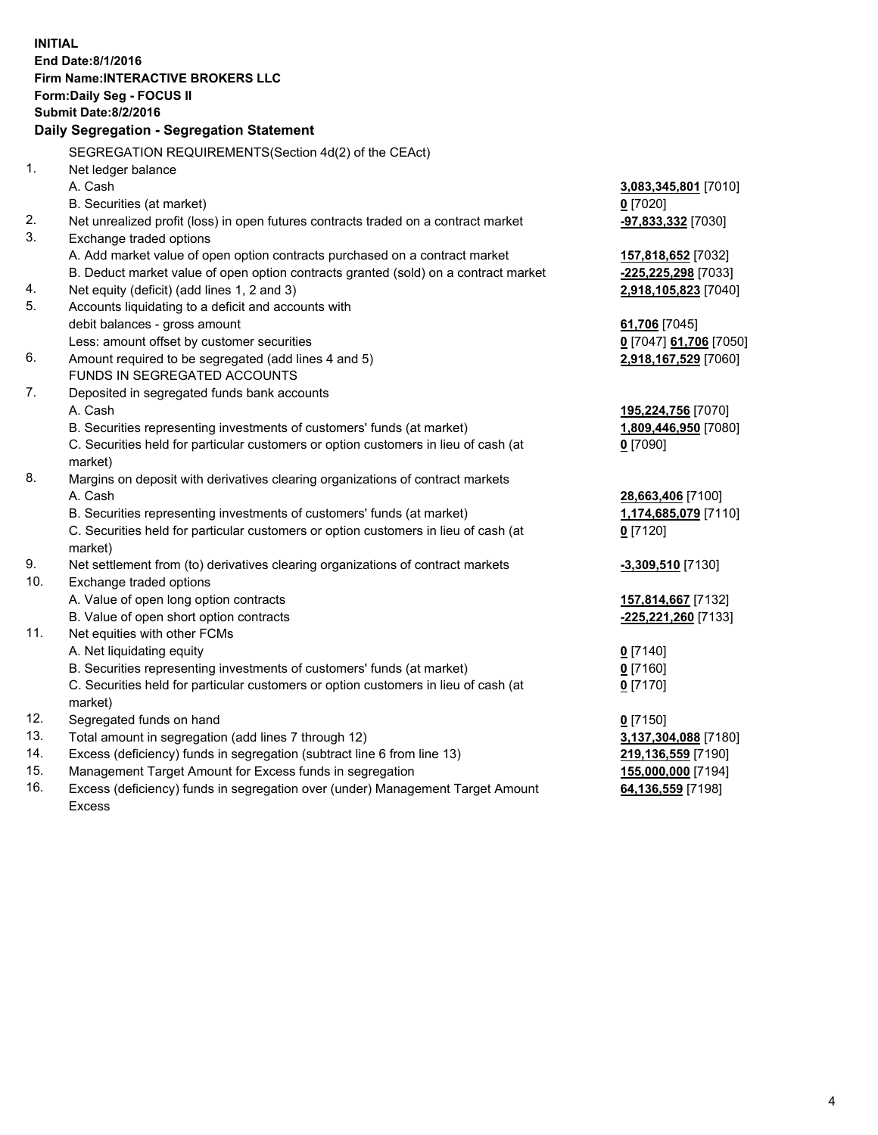**INITIAL End Date:8/1/2016 Firm Name:INTERACTIVE BROKERS LLC Form:Daily Seg - FOCUS II Submit Date:8/2/2016 Daily Segregation - Segregation Statement** SEGREGATION REQUIREMENTS(Section 4d(2) of the CEAct) 1. Net ledger balance A. Cash **3,083,345,801** [7010] B. Securities (at market) **0** [7020] 2. Net unrealized profit (loss) in open futures contracts traded on a contract market **-97,833,332** [7030] 3. Exchange traded options A. Add market value of open option contracts purchased on a contract market **157,818,652** [7032] B. Deduct market value of open option contracts granted (sold) on a contract market **-225,225,298** [7033] 4. Net equity (deficit) (add lines 1, 2 and 3) **2,918,105,823** [7040] 5. Accounts liquidating to a deficit and accounts with debit balances - gross amount **61,706** [7045] Less: amount offset by customer securities **0** [7047] **61,706** [7050] 6. Amount required to be segregated (add lines 4 and 5) **2,918,167,529** [7060] FUNDS IN SEGREGATED ACCOUNTS 7. Deposited in segregated funds bank accounts A. Cash **195,224,756** [7070] B. Securities representing investments of customers' funds (at market) **1,809,446,950** [7080] C. Securities held for particular customers or option customers in lieu of cash (at market) **0** [7090] 8. Margins on deposit with derivatives clearing organizations of contract markets A. Cash **28,663,406** [7100] B. Securities representing investments of customers' funds (at market) **1,174,685,079** [7110] C. Securities held for particular customers or option customers in lieu of cash (at market) **0** [7120] 9. Net settlement from (to) derivatives clearing organizations of contract markets **-3,309,510** [7130] 10. Exchange traded options A. Value of open long option contracts **157,814,667** [7132] B. Value of open short option contracts **-225,221,260** [7133] 11. Net equities with other FCMs A. Net liquidating equity **0** [7140] B. Securities representing investments of customers' funds (at market) **0** [7160] C. Securities held for particular customers or option customers in lieu of cash (at market) **0** [7170] 12. Segregated funds on hand **0** [7150] 13. Total amount in segregation (add lines 7 through 12) **3,137,304,088** [7180] 14. Excess (deficiency) funds in segregation (subtract line 6 from line 13) **219,136,559** [7190] 15. Management Target Amount for Excess funds in segregation **155,000,000** [7194] 16. Excess (deficiency) funds in segregation over (under) Management Target Amount **64,136,559** [7198]

Excess